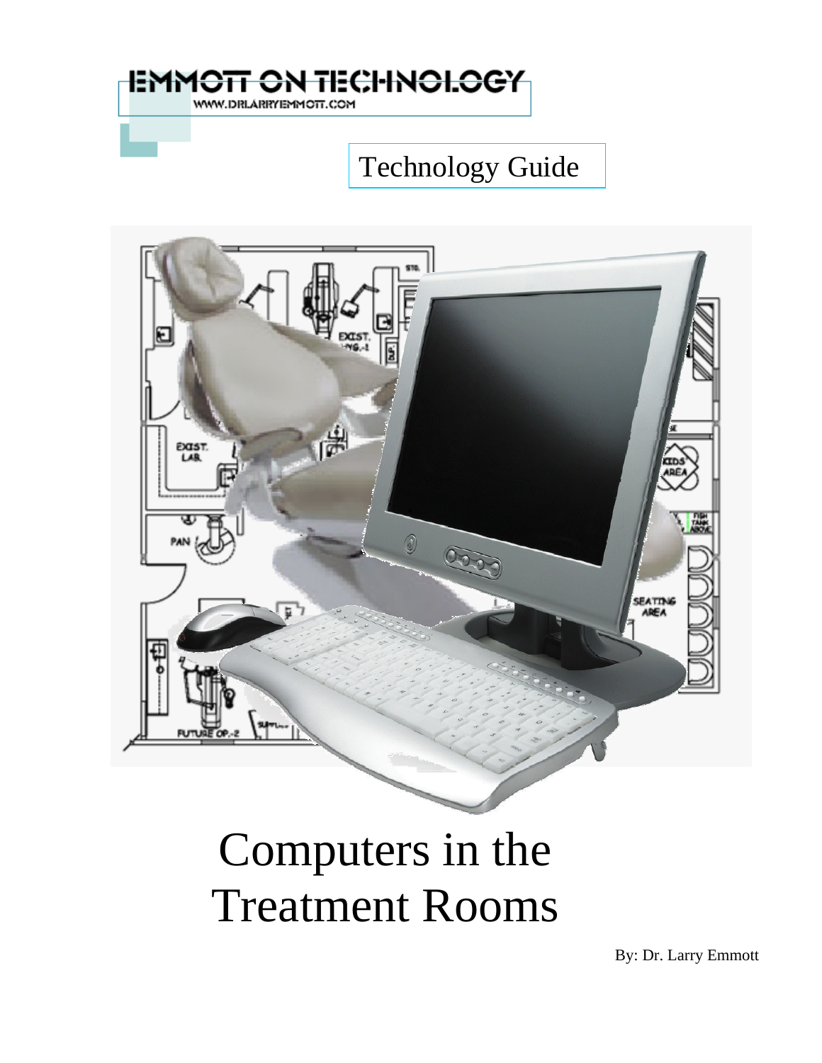

## Technology Guide



# Computers in the Treatment Rooms

By: Dr. Larry Emmott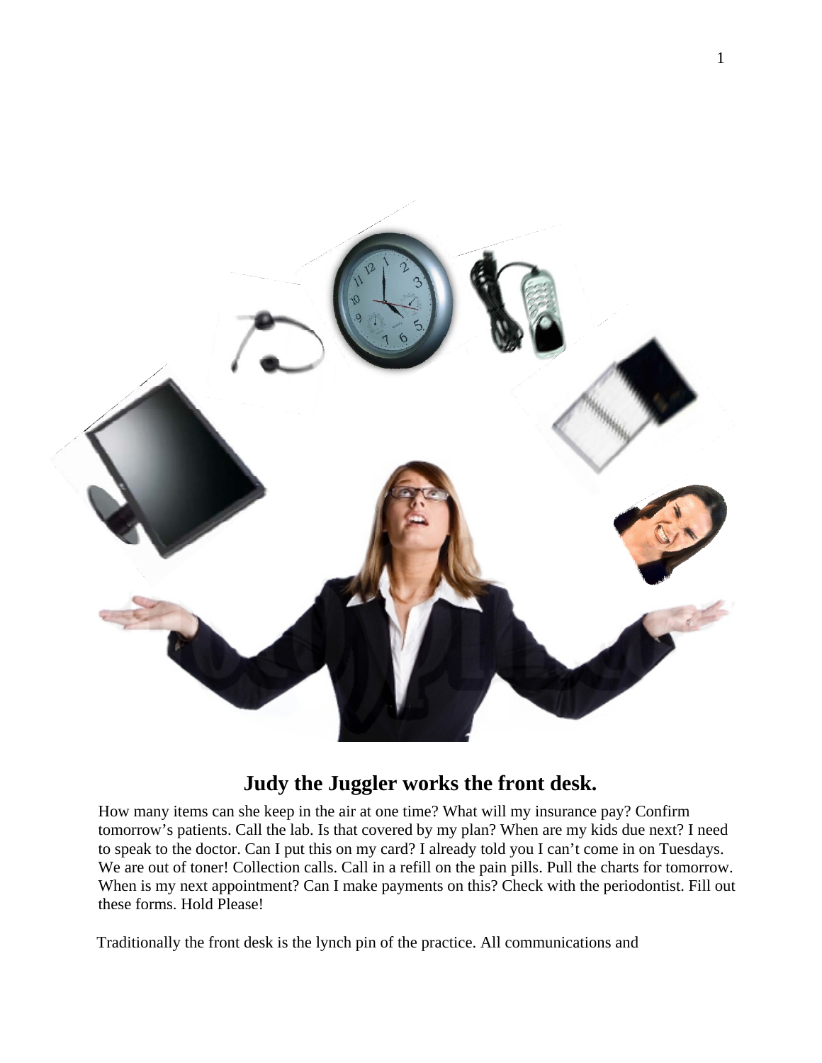

## **Judy the Juggler works the front desk.**

How many items can she keep in the air at one time? What will my insurance pay? Confirm tomorrow's patients. Call the lab. Is that covered by my plan? When are my kids due next? I need to speak to the doctor. Can I put this on my card? I already told you I can't come in on Tuesdays. We are out of toner! Collection calls. Call in a refill on the pain pills. Pull the charts for tomorrow. When is my next appointment? Can I make payments on this? Check with the periodontist. Fill out these forms. Hold Please!

Traditionally the front desk is the lynch pin of the practice. All communications and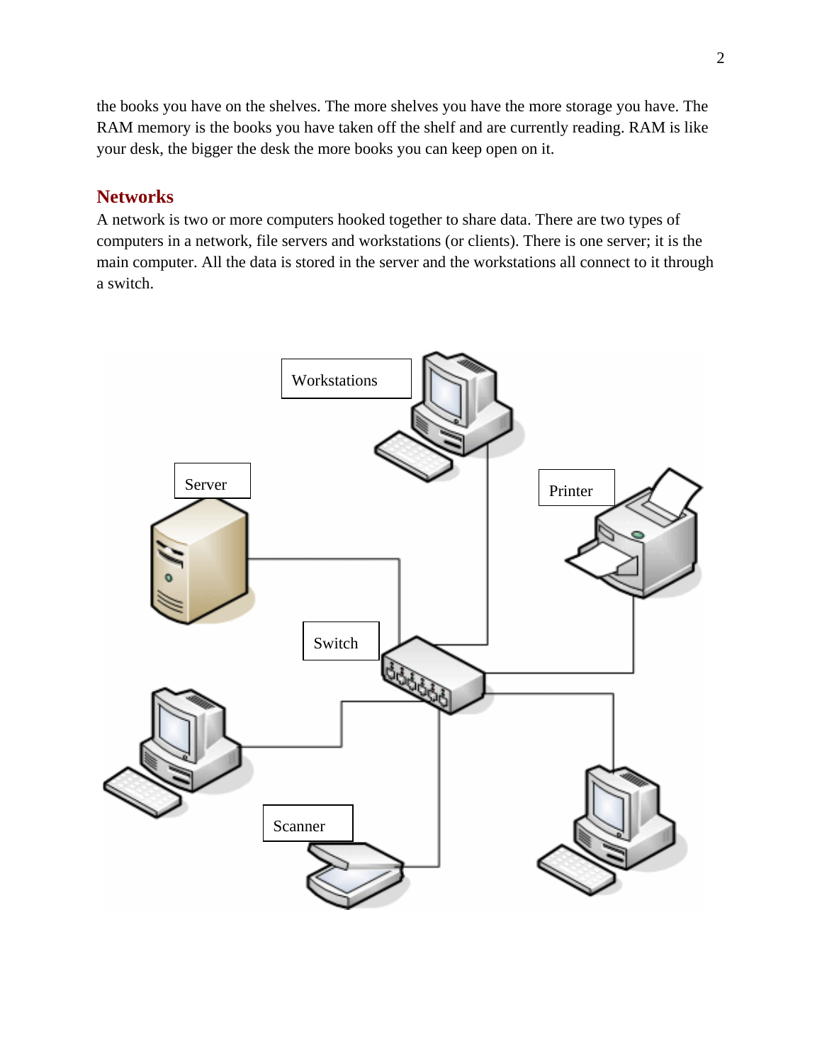the books you have on the shelves. The more shelves you have the more storage you have. The RAM memory is the books you have taken off the shelf and are currently reading. RAM is like your desk, the bigger the desk the more books you can keep open on it.

## **Networks**

A network is two or more computers hooked together to share data. There are two types of computers in a network, file servers and workstations (or clients). There is one server; it is the main computer. All the data is stored in the server and the workstations all connect to it through a switch.

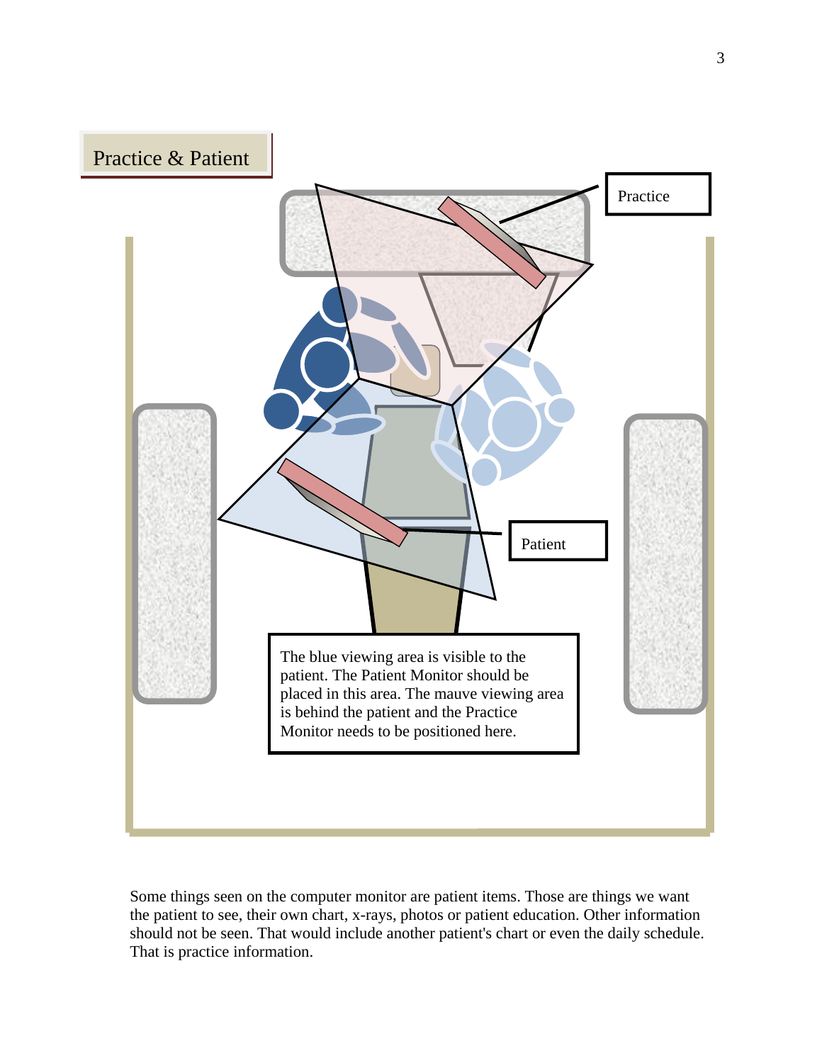

Some things seen on the computer monitor are patient items. Those are things we want the patient to see, their own chart, x-rays, photos or patient education. Other information should not be seen. That would include another patient's chart or even the daily schedule. That is practice information.